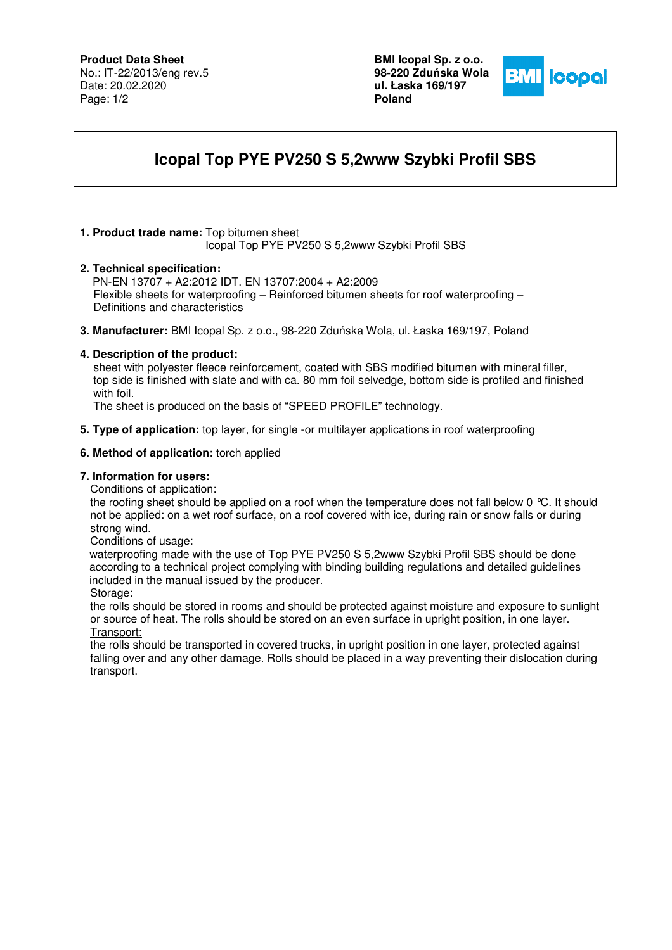## **Product Data Sheet**

No.: IT-22/2013/eng rev.5 Date: 20.02.2020 Page: 1/2

**BMI Icopal Sp. z o.o. 98-220 Zdu**ń**ska Wola ul. Łaska 169/197 Poland** 



# **Icopal Top PYE PV250 S 5,2www Szybki Profil SBS**

### **1. Product trade name:** Top bitumen sheet

Icopal Top PYE PV250 S 5,2www Szybki Profil SBS

#### **2. Technical specification:**

PN-EN 13707 + A2:2012 IDT. EN 13707:2004 + A2:2009 Flexible sheets for waterproofing – Reinforced bitumen sheets for roof waterproofing – Definitions and characteristics

**3. Manufacturer:** BMI Icopal Sp. z o.o., 98-220 Zduńska Wola, ul. Łaska 169/197, Poland

### **4. Description of the product:**

 sheet with polyester fleece reinforcement, coated with SBS modified bitumen with mineral filler, top side is finished with slate and with ca. 80 mm foil selvedge, bottom side is profiled and finished with foil.

The sheet is produced on the basis of "SPEED PROFILE" technology.

**5. Type of application:** top layer, for single -or multilayer applications in roof waterproofing

### **6. Method of application:** torch applied

## **7. Information for users:**

Conditions of application:

the roofing sheet should be applied on a roof when the temperature does not fall below 0 °C. It should not be applied: on a wet roof surface, on a roof covered with ice, during rain or snow falls or during strong wind.

#### Conditions of usage:

 waterproofing made with the use of Top PYE PV250 S 5,2www Szybki Profil SBS should be done according to a technical project complying with binding building regulations and detailed guidelines included in the manual issued by the producer.

Storage:

the rolls should be stored in rooms and should be protected against moisture and exposure to sunlight or source of heat. The rolls should be stored on an even surface in upright position, in one layer. Transport:

the rolls should be transported in covered trucks, in upright position in one layer, protected against falling over and any other damage. Rolls should be placed in a way preventing their dislocation during transport.